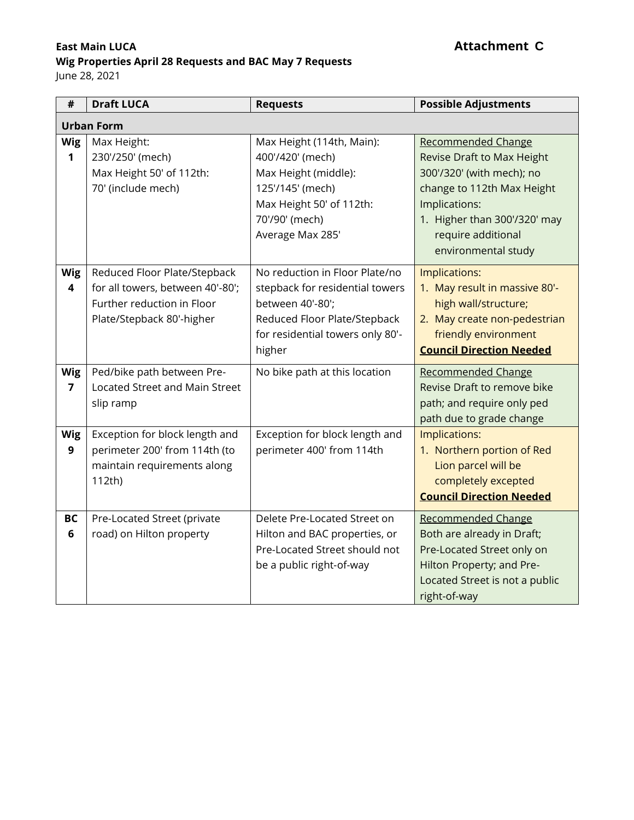### **East Main LUCA C**

### **Wig Properties April 28 Requests and BAC May 7 Requests**

June 28, 2021

| #                            | <b>Draft LUCA</b>                                                                                                           | <b>Requests</b>                                                                                                                                                     | <b>Possible Adjustments</b>                                                                                                                                                                                      |  |  |  |
|------------------------------|-----------------------------------------------------------------------------------------------------------------------------|---------------------------------------------------------------------------------------------------------------------------------------------------------------------|------------------------------------------------------------------------------------------------------------------------------------------------------------------------------------------------------------------|--|--|--|
| <b>Urban Form</b>            |                                                                                                                             |                                                                                                                                                                     |                                                                                                                                                                                                                  |  |  |  |
| <b>Wig</b><br>1              | Max Height:<br>230'/250' (mech)<br>Max Height 50' of 112th:<br>70' (include mech)                                           | Max Height (114th, Main):<br>400'/420' (mech)<br>Max Height (middle):<br>125'/145' (mech)<br>Max Height 50' of 112th:<br>70'/90' (mech)<br>Average Max 285'         | <b>Recommended Change</b><br>Revise Draft to Max Height<br>300'/320' (with mech); no<br>change to 112th Max Height<br>Implications:<br>1. Higher than 300'/320' may<br>require additional<br>environmental study |  |  |  |
| <b>Wig</b><br>4              | Reduced Floor Plate/Stepback<br>for all towers, between 40'-80';<br>Further reduction in Floor<br>Plate/Stepback 80'-higher | No reduction in Floor Plate/no<br>stepback for residential towers<br>between 40'-80';<br>Reduced Floor Plate/Stepback<br>for residential towers only 80'-<br>higher | Implications:<br>1. May result in massive 80'-<br>high wall/structure;<br>2. May create non-pedestrian<br>friendly environment<br><b>Council Direction Needed</b>                                                |  |  |  |
| <b>Wig</b><br>$\overline{7}$ | Ped/bike path between Pre-<br>Located Street and Main Street<br>slip ramp                                                   | No bike path at this location                                                                                                                                       | <b>Recommended Change</b><br>Revise Draft to remove bike<br>path; and require only ped<br>path due to grade change                                                                                               |  |  |  |
| <b>Wig</b><br>9              | Exception for block length and<br>perimeter 200' from 114th (to<br>maintain requirements along<br>112th)                    | Exception for block length and<br>perimeter 400' from 114th                                                                                                         | Implications:<br>1. Northern portion of Red<br>Lion parcel will be<br>completely excepted<br><b>Council Direction Needed</b>                                                                                     |  |  |  |
| BC<br>6                      | Pre-Located Street (private<br>road) on Hilton property                                                                     | Delete Pre-Located Street on<br>Hilton and BAC properties, or<br>Pre-Located Street should not<br>be a public right-of-way                                          | Recommended Change<br>Both are already in Draft;<br>Pre-Located Street only on<br>Hilton Property; and Pre-<br>Located Street is not a public<br>right-of-way                                                    |  |  |  |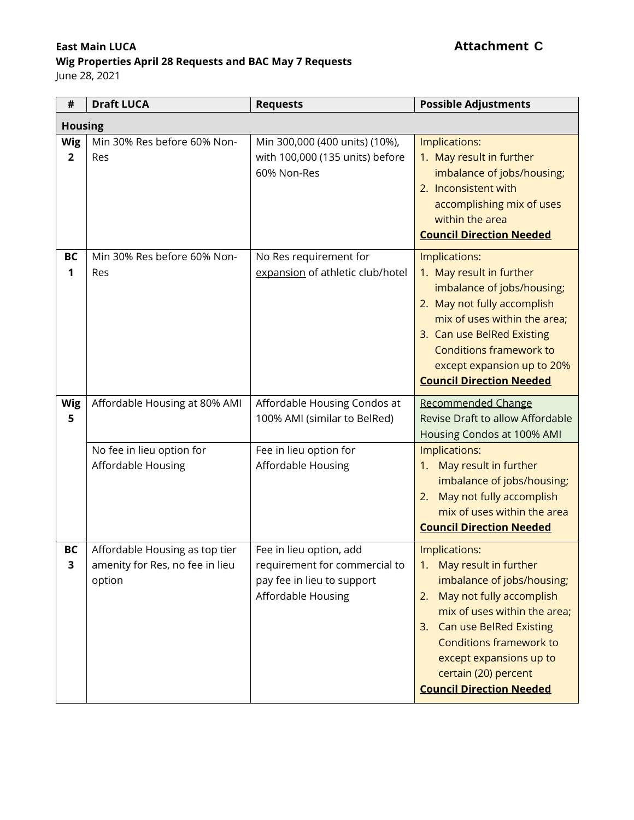# **Wig Properties April 28 Requests and BAC May 7 Requests**

June 28, 2021

| $\#$                         | <b>Draft LUCA</b>                                                                | <b>Requests</b>                                                                                              | <b>Possible Adjustments</b>                                                                                                                                                                                                                                                                           |  |  |
|------------------------------|----------------------------------------------------------------------------------|--------------------------------------------------------------------------------------------------------------|-------------------------------------------------------------------------------------------------------------------------------------------------------------------------------------------------------------------------------------------------------------------------------------------------------|--|--|
| <b>Housing</b>               |                                                                                  |                                                                                                              |                                                                                                                                                                                                                                                                                                       |  |  |
| <b>Wig</b><br>$\overline{2}$ | Min 30% Res before 60% Non-<br>Res                                               | Min 300,000 (400 units) (10%),<br>with 100,000 (135 units) before<br>60% Non-Res                             | Implications:<br>1. May result in further<br>imbalance of jobs/housing;<br>2. Inconsistent with<br>accomplishing mix of uses<br>within the area<br><b>Council Direction Needed</b>                                                                                                                    |  |  |
| <b>BC</b><br>1               | Min 30% Res before 60% Non-<br>Res                                               | No Res requirement for<br>expansion of athletic club/hotel                                                   | Implications:<br>1. May result in further<br>imbalance of jobs/housing;<br>2. May not fully accomplish<br>mix of uses within the area;<br>3. Can use BelRed Existing<br><b>Conditions framework to</b><br>except expansion up to 20%<br><b>Council Direction Needed</b>                               |  |  |
| <b>Wig</b><br>5              | Affordable Housing at 80% AMI<br>No fee in lieu option for<br>Affordable Housing | Affordable Housing Condos at<br>100% AMI (similar to BelRed)<br>Fee in lieu option for<br>Affordable Housing | <b>Recommended Change</b><br>Revise Draft to allow Affordable<br>Housing Condos at 100% AMI<br>Implications:<br>May result in further<br>1.<br>imbalance of jobs/housing;<br>May not fully accomplish<br>2.<br>mix of uses within the area<br><b>Council Direction Needed</b>                         |  |  |
| <b>BC</b><br>3               | Affordable Housing as top tier<br>amenity for Res, no fee in lieu<br>option      | Fee in lieu option, add<br>requirement for commercial to<br>pay fee in lieu to support<br>Affordable Housing | Implications:<br>May result in further<br>1.<br>imbalance of jobs/housing;<br>May not fully accomplish<br>2.<br>mix of uses within the area;<br><b>Can use BelRed Existing</b><br>3.<br>Conditions framework to<br>except expansions up to<br>certain (20) percent<br><b>Council Direction Needed</b> |  |  |